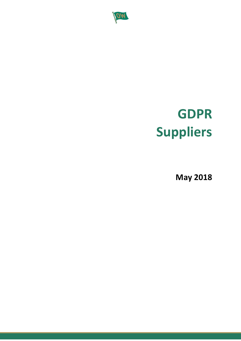

# **GDPR Suppliers**

**May 2018**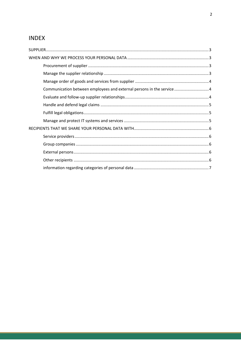# **INDEX**

| Communication between employees and external persons in the service  4 |  |
|------------------------------------------------------------------------|--|
|                                                                        |  |
|                                                                        |  |
|                                                                        |  |
|                                                                        |  |
|                                                                        |  |
|                                                                        |  |
|                                                                        |  |
|                                                                        |  |
|                                                                        |  |
|                                                                        |  |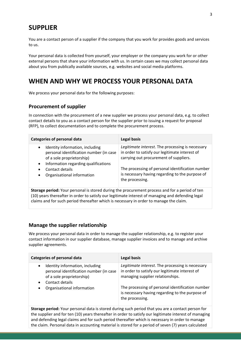# <span id="page-2-0"></span>**SUPPLIER**

You are a contact person of a supplier if the company that you work for provides goods and services to us.

Your personal data is collected from yourself, your employer or the company you work for or other external persons that share your information with us. In certain cases we may collect personal data about you from publically available sources, e.g. websites and social media platforms.

# <span id="page-2-1"></span>**WHEN AND WHY WE PROCESS YOUR PERSONAL DATA**

<span id="page-2-2"></span>We process your personal data for the following purposes:

## **Procurement of supplier**

In connection with the procurement of a new supplier we process your personal data, e.g. to collect contact details to you as a contact person for the supplier prior to issuing a request for proposal (RFP), to collect documentation and to complete the procurement process.

| Legitimate interest. The processing is necessary<br>Identity information, including<br>$\bullet$<br>in order to satisfy our legitimate interest of<br>personal identification number (in case<br>carrying out procurement of suppliers.<br>of a sole proprietorship)<br>Information regarding qualifications<br>$\bullet$<br>The processing of personal identification number<br>Contact details<br>$\bullet$<br>is necessary having regarding to the purpose of<br>Organisational information | <b>Categories of personal data</b> | Legal basis     |
|------------------------------------------------------------------------------------------------------------------------------------------------------------------------------------------------------------------------------------------------------------------------------------------------------------------------------------------------------------------------------------------------------------------------------------------------------------------------------------------------|------------------------------------|-----------------|
|                                                                                                                                                                                                                                                                                                                                                                                                                                                                                                |                                    | the processing. |

**Storage period:** Your personal is stored during the procurement process and for a period of ten (10) years thereafter in order to satisfy our legitimate interest of managing and defending legal claims and for such period thereafter which is necessary in order to manage the claim.

## <span id="page-2-3"></span>**Manage the supplier relationship**

We process your personal data in order to manage the supplier relationship, e.g. to register your contact information in our supplier database, manage supplier invoices and to manage and archive supplier agreements.

| Categories of personal data                                                                                                                          | Legal basis                                                                                                                            |
|------------------------------------------------------------------------------------------------------------------------------------------------------|----------------------------------------------------------------------------------------------------------------------------------------|
| Identity information, including<br>$\bullet$<br>personal identification number (in case<br>of a sole proprietorship)<br>Contact details<br>$\bullet$ | Legitimate interest. The processing is necessary<br>in order to satisfy our legitimate interest of<br>managing supplier relationships. |
| Organisational information<br>$\bullet$                                                                                                              | The processing of personal identification number<br>is necessary having regarding to the purpose of<br>the processing.                 |

**Storage period:** Your personal data is stored during such period that you are a contact person for the supplier and for ten (10) years thereafter in order to satisfy our legitimate interest of managing and defending legal claims and for such period thereafter which is necessary in order to manage the claim. Personal data in accounting material is stored for a period of seven (7) years calculated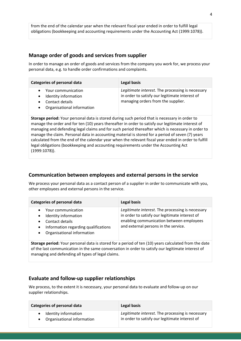from the end of the calendar year when the relevant fiscal year ended in order to fulfill legal obligations (bookkeeping and accounting requirements under the Accounting Act (1999:1078)).

## <span id="page-3-0"></span>**Manage order of goods and services from supplier**

In order to manage an order of goods and services from the company you work for, we process your personal data, e.g. to handle order confirmations and complaints.

| Categories of personal data                                                                                           | Legal basis                                                                                                                              |
|-----------------------------------------------------------------------------------------------------------------------|------------------------------------------------------------------------------------------------------------------------------------------|
| Your communication<br>Identity information<br>$\bullet$<br>Contact details<br>Organisational information<br>$\bullet$ | Legitimate interest. The processing is necessary<br>in order to satisfy our legitimate interest of<br>managing orders from the supplier. |

**Storage period:** Your personal data is stored during such period that is necessary in order to manage the order and for ten (10) years thereafter in order to satisfy our legitimate interest of managing and defending legal claims and for such period thereafter which is necessary in order to manage the claim. Personal data in accounting material is stored for a period of seven (7) years calculated from the end of the calendar year when the relevant fiscal year ended in order to fulfill legal obligations (bookkeeping and accounting requirements under the Accounting Act (1999:1078)).

## <span id="page-3-1"></span>**Communication between employees and external persons in the service**

We process your personal data as a contact person of a supplier in order to communicate with you, other employees and external persons in the service.

| <b>Categories of personal data</b>                                                                                                                                                                   | Legal basis                                                                                                                                                                            |
|------------------------------------------------------------------------------------------------------------------------------------------------------------------------------------------------------|----------------------------------------------------------------------------------------------------------------------------------------------------------------------------------------|
| Your communication<br>$\bullet$<br>Identity information<br>$\bullet$<br>Contact details<br>$\bullet$<br>Information regarding qualifications<br>$\bullet$<br>Organisational information<br>$\bullet$ | Legitimate interest. The processing is necessary<br>in order to satisfy our legitimate interest of<br>enabling communication between employees<br>and external persons in the service. |

**Storage period:** Your personal data is stored for a period of ten (10) years calculated from the date of the last communication in the same conversation in order to satisfy our legitimate interest of managing and defending all types of legal claims.

## <span id="page-3-2"></span>**Evaluate and follow-up supplier relationships**

We process, to the extent it is necessary, your personal data to evaluate and follow-up on our supplier relationships.

| <b>Categories of personal data</b> | Legal basis                                      |
|------------------------------------|--------------------------------------------------|
| Identity information               | Legitimate interest. The processing is necessary |
| • Organisational information       | in order to satisfy our legitimate interest of   |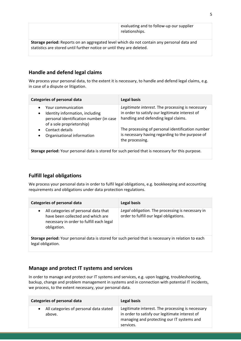|                                                                                           | evaluating and to follow-up our supplier<br>relationships. |  |
|-------------------------------------------------------------------------------------------|------------------------------------------------------------|--|
| Storage period: Reports on an aggregated level which do not contain any personal data and |                                                            |  |
| statistics are stored until further notice or until they are deleted.                     |                                                            |  |

## <span id="page-4-0"></span>**Handle and defend legal claims**

We process your personal data, to the extent it is necessary, to handle and defend legal claims, e.g. in case of a dispute or litigation.

| <b>Categories of personal data</b>                                                                                                         | Legal basis                                                                                                                                |  |
|--------------------------------------------------------------------------------------------------------------------------------------------|--------------------------------------------------------------------------------------------------------------------------------------------|--|
| Your communication<br>Identity information, including<br>$\bullet$<br>personal identification number (in case<br>of a sole proprietorship) | Legitimate interest. The processing is necessary<br>in order to satisfy our legitimate interest of<br>handling and defending legal claims. |  |
| Contact details<br>Organisational information                                                                                              | The processing of personal identification number<br>is necessary having regarding to the purpose of<br>the processing.                     |  |
| Storage period: Your personal data is stored for such period that is necessary for this purpose.                                           |                                                                                                                                            |  |

# <span id="page-4-1"></span>**Fulfill legal obligations**

We process your personal data in order to fulfil legal obligations, e.g. bookkeeping and accounting requirements and obligations under data protection regulations.

| <b>Categories of personal data</b>                                                                                                                |  | Legal basis                                                                                 |
|---------------------------------------------------------------------------------------------------------------------------------------------------|--|---------------------------------------------------------------------------------------------|
| All categories of personal data that<br>$\bullet$<br>have been collected and which are<br>necessary in order to fulfill each legal<br>obligation. |  | Legal obligation. The processing is necessary in<br>order to fulfill our legal obligations. |
| Storage period: Your personal data is stored for such period that is necessary in relation to each<br>legal obligation.                           |  |                                                                                             |

# <span id="page-4-2"></span>**Manage and protect IT systems and services**

In order to manage and protect our IT systems and services, e.g. upon logging, troubleshooting, backup, change and problem management in systems and in connection with potential IT incidents, we process, to the extent necessary, your personal data.

| Categories of personal data                      | Legal basis                                                                                                                                                   |
|--------------------------------------------------|---------------------------------------------------------------------------------------------------------------------------------------------------------------|
| All categories of personal data stated<br>above. | Legitimate interest. The processing is necessary<br>in order to satisfy our legitimate interest of<br>managing and protecting our IT systems and<br>services. |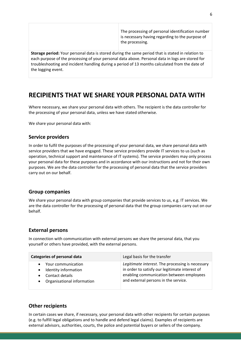The processing of personal identification number is necessary having regarding to the purpose of the processing.

**Storage period:** Your personal data is stored during the same period that is stated in relation to each purpose of the processing of your personal data above. Personal data in logs are stored for troubleshooting and incident handling during a period of 13 months calculated from the date of the logging event.

# <span id="page-5-0"></span>**RECIPIENTS THAT WE SHARE YOUR PERSONAL DATA WITH**

Where necessary, we share your personal data with others. The recipient is the data controller for the processing of your personal data, unless we have stated otherwise.

<span id="page-5-1"></span>We share your personal data with:

## **Service providers**

In order to fulfil the purposes of the processing of your personal data, we share personal data with service providers that we have engaged. These service providers provide IT services to us (such as operation, technical support and maintenance of IT systems). The service providers may only process your personal data for these purposes and in accordance with our instructions and not for their own purposes. We are the data controller for the processing of personal data that the service providers carry out on our behalf.

## <span id="page-5-2"></span>**Group companies**

We share your personal data with group companies that provide services to us, e.g. IT services. We are the data controller for the processing of personal data that the group companies carry out on our behalf.

#### <span id="page-5-3"></span>**External persons**

In connection with communication with external persons we share the personal data, that you yourself or others have provided, with the external persons.

| <b>Categories of personal data</b>                                                                                    | Legal basis for the transfer                                                                                                                                                           |
|-----------------------------------------------------------------------------------------------------------------------|----------------------------------------------------------------------------------------------------------------------------------------------------------------------------------------|
| Your communication<br>Identity information<br>$\bullet$<br>Contact details<br>Organisational information<br>$\bullet$ | Legitimate interest. The processing is necessary<br>in order to satisfy our legitimate interest of<br>enabling communication between employees<br>and external persons in the service. |

## <span id="page-5-4"></span>**Other recipients**

In certain cases we share, if necessary, your personal data with other recipients for certain purposes (e.g. to fulfill legal obligations and to handle and defend legal claims). Examples of recipients are external advisors, authorities, courts, the police and potential buyers or sellers of the company.